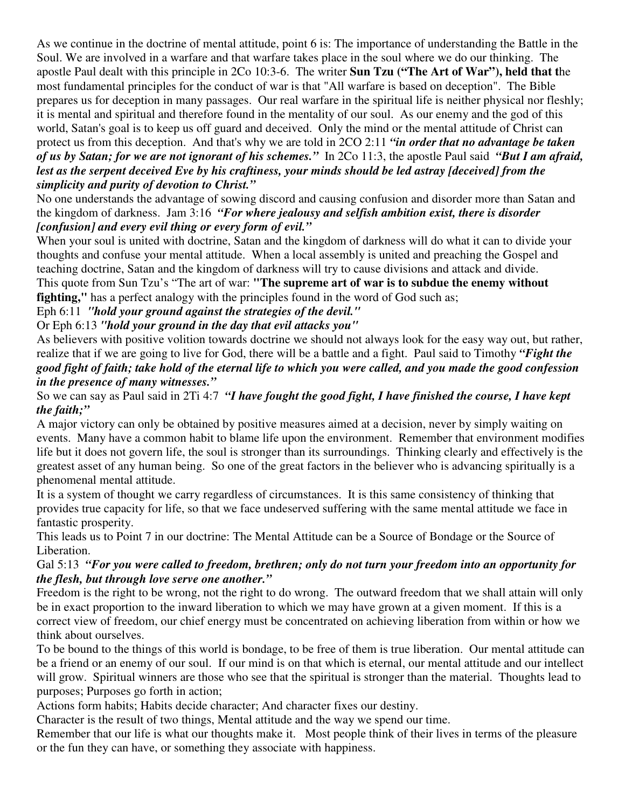As we continue in the doctrine of mental attitude, point 6 is: The importance of understanding the Battle in the Soul. We are involved in a warfare and that warfare takes place in the soul where we do our thinking. The apostle Paul dealt with this principle in 2Co 10:3-6. The writer **Sun Tzu ("The Art of War"), held that t**he most fundamental principles for the conduct of war is that "All warfare is based on deception". The Bible prepares us for deception in many passages. Our real warfare in the spiritual life is neither physical nor fleshly; it is mental and spiritual and therefore found in the mentality of our soul. As our enemy and the god of this world, Satan's goal is to keep us off guard and deceived. Only the mind or the mental attitude of Christ can protect us from this deception. And that's why we are told in 2CO 2:11 *"in order that no advantage be taken of us by Satan; for we are not ignorant of his schemes."* In 2Co 11:3, the apostle Paul said *"But I am afraid,* lest as the serpent deceived Eve by his craftiness, your minds should be led astray [deceived] from the *simplicity and purity of devotion to Christ."*

No one understands the advantage of sowing discord and causing confusion and disorder more than Satan and the kingdom of darkness. Jam 3:16 *"For where jealousy and selfish ambition exist, there is disorder [confusion] and every evil thing or every form of evil."*

When your soul is united with doctrine, Satan and the kingdom of darkness will do what it can to divide your thoughts and confuse your mental attitude. When a local assembly is united and preaching the Gospel and teaching doctrine, Satan and the kingdom of darkness will try to cause divisions and attack and divide. This quote from Sun Tzu's "The art of war: **"The supreme art of war is to subdue the enemy without fighting,"** has a perfect analogy with the principles found in the word of God such as;

Eph 6:11 *"hold your ground against the strategies of the devil."*

Or Eph 6:13 *"hold your ground in the day that evil attacks you"*

As believers with positive volition towards doctrine we should not always look for the easy way out, but rather, realize that if we are going to live for God, there will be a battle and a fight. Paul said to Timothy *"Fight the* good fight of faith; take hold of the eternal life to which you were called, and you made the good confession *in the presence of many witnesses."*

# So we can say as Paul said in 2Ti 4:7 *"I have fought the good fight, I have finished the course, I have kept the faith;"*

A major victory can only be obtained by positive measures aimed at a decision, never by simply waiting on events. Many have a common habit to blame life upon the environment. Remember that environment modifies life but it does not govern life, the soul is stronger than its surroundings. Thinking clearly and effectively is the greatest asset of any human being. So one of the great factors in the believer who is advancing spiritually is a phenomenal mental attitude.

It is a system of thought we carry regardless of circumstances. It is this same consistency of thinking that provides true capacity for life, so that we face undeserved suffering with the same mental attitude we face in fantastic prosperity.

This leads us to Point 7 in our doctrine: The Mental Attitude can be a Source of Bondage or the Source of Liberation.

### Gal 5:13 *"For you were called to freedom, brethren; only do not turn your freedom into an opportunity for the flesh, but through love serve one another."*

Freedom is the right to be wrong, not the right to do wrong. The outward freedom that we shall attain will only be in exact proportion to the inward liberation to which we may have grown at a given moment. If this is a correct view of freedom, our chief energy must be concentrated on achieving liberation from within or how we think about ourselves.

To be bound to the things of this world is bondage, to be free of them is true liberation. Our mental attitude can be a friend or an enemy of our soul. If our mind is on that which is eternal, our mental attitude and our intellect will grow. Spiritual winners are those who see that the spiritual is stronger than the material. Thoughts lead to purposes; Purposes go forth in action;

Actions form habits; Habits decide character; And character fixes our destiny.

Character is the result of two things, Mental attitude and the way we spend our time.

Remember that our life is what our thoughts make it. Most people think of their lives in terms of the pleasure or the fun they can have, or something they associate with happiness.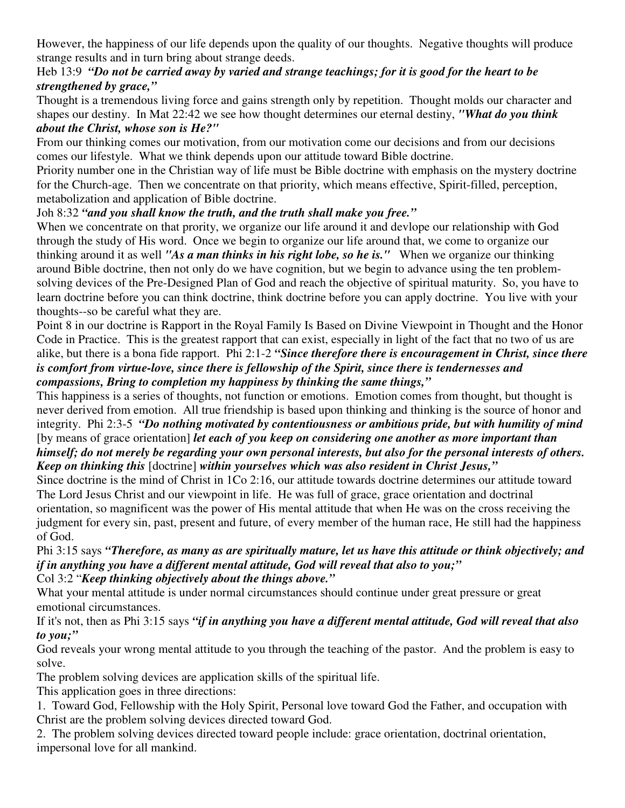However, the happiness of our life depends upon the quality of our thoughts. Negative thoughts will produce strange results and in turn bring about strange deeds.

### Heb 13:9 "Do not be carried away by varied and strange teachings; for it is good for the heart to be *strengthened by grace,"*

Thought is a tremendous living force and gains strength only by repetition. Thought molds our character and shapes our destiny. In Mat 22:42 we see how thought determines our eternal destiny, *"What do you think about the Christ, whose son is He?"*

From our thinking comes our motivation, from our motivation come our decisions and from our decisions comes our lifestyle. What we think depends upon our attitude toward Bible doctrine.

Priority number one in the Christian way of life must be Bible doctrine with emphasis on the mystery doctrine for the Church-age. Then we concentrate on that priority, which means effective, Spirit-filled, perception, metabolization and application of Bible doctrine.

# Joh 8:32 *"and you shall know the truth, and the truth shall make you free."*

When we concentrate on that prority, we organize our life around it and devlope our relationship with God through the study of His word. Once we begin to organize our life around that, we come to organize our thinking around it as well *"As a man thinks in his right lobe, so he is."* When we organize our thinking around Bible doctrine, then not only do we have cognition, but we begin to advance using the ten problemsolving devices of the Pre-Designed Plan of God and reach the objective of spiritual maturity. So, you have to learn doctrine before you can think doctrine, think doctrine before you can apply doctrine. You live with your thoughts--so be careful what they are.

Point 8 in our doctrine is Rapport in the Royal Family Is Based on Divine Viewpoint in Thought and the Honor Code in Practice. This is the greatest rapport that can exist, especially in light of the fact that no two of us are alike, but there is a bona fide rapport. Phi 2:1-2 *"Since therefore there is encouragement in Christ, since there is comfort from virtue-love, since there is fellowship of the Spirit, since there is tendernesses and compassions, Bring to completion my happiness by thinking the same things,"*

This happiness is a series of thoughts, not function or emotions. Emotion comes from thought, but thought is never derived from emotion. All true friendship is based upon thinking and thinking is the source of honor and integrity. Phi 2:3-5 *"Do nothing motivated by contentiousness or ambitious pride, but with humility of mind* [by means of grace orientation] *let each of you keep on considering one another as more important than* himself; do not merely be regarding your own personal interests, but also for the personal interests of others. *Keep on thinking this* [doctrine] *within yourselves which was also resident in Christ Jesus,"*

Since doctrine is the mind of Christ in 1Co 2:16, our attitude towards doctrine determines our attitude toward The Lord Jesus Christ and our viewpoint in life. He was full of grace, grace orientation and doctrinal orientation, so magnificent was the power of His mental attitude that when He was on the cross receiving the judgment for every sin, past, present and future, of every member of the human race, He still had the happiness of God.

#### Phi 3:15 says *"Therefore, as many as are spiritually mature, let us have this attitude or think objectively; and if in anything you have a different mental attitude, God will reveal that also to you;"* Col 3:2 "*Keep thinking objectively about the things above."*

What your mental attitude is under normal circumstances should continue under great pressure or great emotional circumstances.

If it's not, then as Phi 3:15 says *"if in anything you have a different mental attitude, God will reveal that also to you;"*

God reveals your wrong mental attitude to you through the teaching of the pastor. And the problem is easy to solve.

The problem solving devices are application skills of the spiritual life.

This application goes in three directions:

1. Toward God, Fellowship with the Holy Spirit, Personal love toward God the Father, and occupation with Christ are the problem solving devices directed toward God.

2. The problem solving devices directed toward people include: grace orientation, doctrinal orientation, impersonal love for all mankind.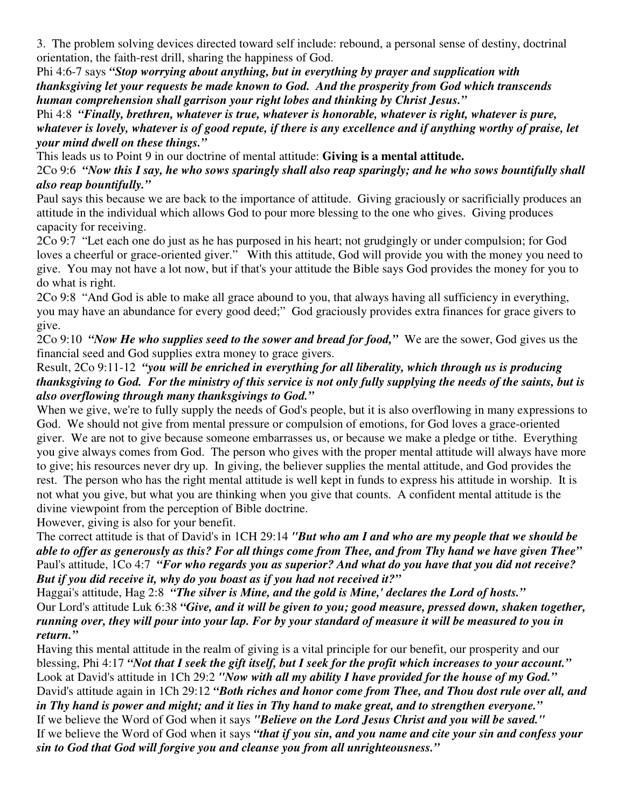3. The problem solving devices directed toward self include: rebound, a personal sense of destiny, doctrinal orientation, the faith-rest drill, sharing the happiness of God.

Phi 4:6-7 says *"Stop worrying about anything, but in everything by prayer and supplication with thanksgiving let your requests be made known to God. And the prosperity from God which transcends human comprehension shall garrison your right lobes and thinking by Christ Jesus."*

Phi 4:8 *"Finally, brethren, whatever is true, whatever is honorable, whatever is right, whatever is pure,* whatever is lovely, whatever is of good repute, if there is any excellence and if anything worthy of praise, let *your mind dwell on these things."*

This leads us to Point 9 in our doctrine of mental attitude: **Giving is a mental attitude.**

2Co 9:6 "Now this I say, he who sows sparingly shall also reap sparingly; and he who sows bountifully shall *also reap bountifully."*

Paul says this because we are back to the importance of attitude. Giving graciously or sacrificially produces an attitude in the individual which allows God to pour more blessing to the one who gives. Giving produces capacity for receiving.

2Co 9:7 "Let each one do just as he has purposed in his heart; not grudgingly or under compulsion; for God loves a cheerful or grace-oriented giver." With this attitude, God will provide you with the money you need to give. You may not have a lot now, but if that's your attitude the Bible says God provides the money for you to do what is right.

2Co 9:8 "And God is able to make all grace abound to you, that always having all sufficiency in everything, you may have an abundance for every good deed;" God graciously provides extra finances for grace givers to give.

2Co 9:10 *"Now He who supplies seed to the sower and bread for food,"* We are the sower, God gives us the financial seed and God supplies extra money to grace givers.

## Result, 2Co 9:11-12 *"you will be enriched in everything for all liberality, which through us is producing* thanksgiving to God. For the ministry of this service is not only fully supplying the needs of the saints, but is *also overflowing through many thanksgivings to God."*

When we give, we're to fully supply the needs of God's people, but it is also overflowing in many expressions to God. We should not give from mental pressure or compulsion of emotions, for God loves a grace-oriented giver. We are not to give because someone embarrasses us, or because we make a pledge or tithe. Everything you give always comes from God. The person who gives with the proper mental attitude will always have more to give; his resources never dry up. In giving, the believer supplies the mental attitude, and God provides the rest. The person who has the right mental attitude is well kept in funds to express his attitude in worship. It is not what you give, but what you are thinking when you give that counts. A confident mental attitude is the divine viewpoint from the perception of Bible doctrine.

However, giving is also for your benefit.

The correct attitude is that of David's in 1CH 29:14 *"But who am I and who are my people that we should be* able to offer as generously as this? For all things come from Thee, and from Thy hand we have given Thee" Paul's attitude, 1Co 4:7 *"For who regards you as superior? And what do you have that you did not receive? But if you did receive it, why do you boast as if you had not received it?"*

Haggai's attitude, Hag 2:8 *"The silver is Mine, and the gold is Mine,' declares the Lord of hosts."* Our Lord's attitude Luk 6:38 *"Give, and it will be given to you; good measure, pressed down, shaken together,* running over, they will pour into your lap. For by your standard of measure it will be measured to you in *return."*

Having this mental attitude in the realm of giving is a vital principle for our benefit, our prosperity and our blessing, Phi 4:17 "Not that I seek the gift itself, but I seek for the profit which increases to your account." Look at David's attitude in 1Ch 29:2 *"Now with all my ability I have provided for the house of my God."* David's attitude again in 1Ch 29:12 *"Both riches and honor come from Thee, and Thou dost rule over all, and* in Thy hand is power and might; and it lies in Thy hand to make great, and to strengthen everyone." If we believe the Word of God when it says *"Believe on the Lord Jesus Christ and you will be saved."* If we believe the Word of God when it says *"that if you sin, and you name and cite your sin and confess your*

*sin to God that God will forgive you and cleanse you from all unrighteousness."*